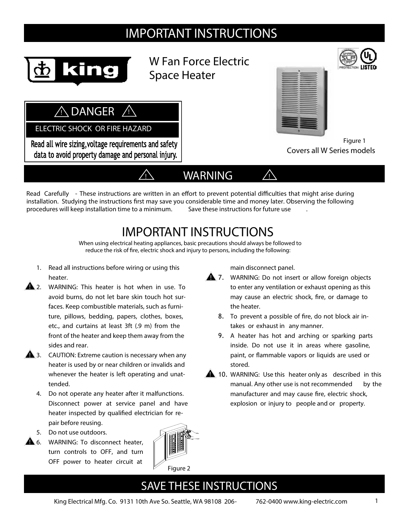# IMPORTANT INSTRUCTIONS



W Fan Force Electric Space Heater



Figure 1

Covers all W Series models

**! DANGER !**

 **ELECTRIC SHOCK OR FIRE HAZARD**

Read all wire sizing, voltage requirements and safety data to avoid property damage and personal injury.



Read Carefully - These instructions are written in an effort to prevent potential difficulties that might arise during installation. Studying the instructions first may save you considerable time and money later. Observing the following procedures will keep installation time to a minimum. **Save these instructions for future use** .

# **IMPORTANT INSTRUCTIONS**

**When using electrical heating appliances, basic precautions should always be followed to reduce the risk of re, electric shock and injury to persons, including the following:**

- **1. Read all instructions before wiring or using this heater.**
- 2. WARNING: This heater is hot when in use. To **!** avoid burns, do not let bare skin touch hot surfaces. Keep combustible materials, such as furniture, pillows, bedding, papers, clothes, boxes, etc., and curtains at least 3ft (.9 m) from the front of the heater and keep them away from the sides and rear.
- 3. CAUTION: Extreme caution is necessary when any **!** heater is used by or near children or invalids and whenever the heater is left operating and unattended.
	- 4. Do not operate any heater after it malfunctions. Disconnect power at service panel and have heater inspected by qualified electrician for repair before reusing.
	- 5. Do not use outdoors.
- 6. WARNING: To disconnect heater, **!** turn controls to OFF, and turn OFF power to heater circuit at



main disconnect panel.

- 7. WARNING: Do not insert or allow foreign objects **!** to enter any ventilation or exhaust opening as this may cause an electric shock, fire, or damage to the heater.
	- 8. To prevent a possible of fire, do not block air intakes or exhaust in any manner.
	- 9. A heater has hot and arching or sparking parts inside. Do not use it in areas where gasoline, paint, or flammable vapors or liquids are used or stored.
- **10.** WARNING: Use this heater only as described in this manual. Any other use is not recommended by the manufacturer and may cause fire, electric shock, explosion or injury to people and or property.

## **SAVE THESE INSTRUCTIONS**

King Electrical Mfg. Co. 9131 10th Ave So. Seattle, WA 98108 206- 762-0400 www.king-electric.com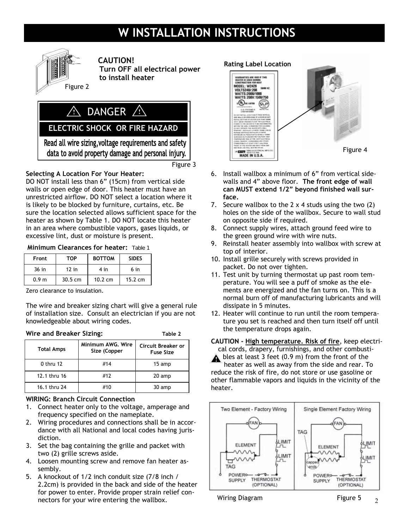# **W INSTALLATION INSTRUCTIONS**



### **CAUTION!**

 **Turn OFF all electrical power to install heater** 

## **1** DANGER <u>A</u>

 **ELECTRIC SHOCK OR FIRE HAZARD**

Read all wire sizing, voltage requirements and safety data to avoid property damage and personal injury.

Figure 3

### **Selecting A Location For Your Heater:**

DO NOT install less than 6" (15cm) from vertical side walls or open edge of door. This heater must have an unrestricted airflow. DO NOT select a location where it is likely to be blocked by furniture, curtains, etc. Be sure the location selected allows sufficient space for the heater as shown by Table 1. DO NOT locate this heater in an area where combustible vapors, gases liquids, or excessive lint, dust or moisture is present.

#### **Minimum Clearances for heater:** Table 1

| Front            | <b>TOP</b>        | <b>BOTTOM</b>     | <b>SIDES</b>      |
|------------------|-------------------|-------------------|-------------------|
| $36$ in          | $12$ in           | 4 in              | 6 in              |
| 0.9 <sub>m</sub> | $30.5 \text{ cm}$ | $10.2 \text{ cm}$ | $15.2 \text{ cm}$ |

Zero clearance to insulation.

The wire and breaker sizing chart will give a general rule of installation size. Consult an electrician if you are not knowledgeable about wiring codes.

| Wire and Breaker Sizing: | Table 2                           |                                        |
|--------------------------|-----------------------------------|----------------------------------------|
| <b>Total Amps</b>        | Minimum AWG. Wire<br>Size (Copper | Circuit Breaker or<br><b>Fuse Size</b> |
| 0 thru 12                | #14                               | 15 amp                                 |
| 12.1 thru 16             | #12                               | 20 amp                                 |
| 16.1 thru 24             | #10                               | 30 amp                                 |

#### **WIRING: Branch Circuit Connection**

- 1. Connect heater only to the voltage, amperage and frequency specified on the nameplate.
- 2. Wiring procedures and connections shall be in accordance with all National and local codes having jurisdiction.
- 3. Set the bag containing the grille and packet with two (2) grille screws aside.
- 4. Loosen mounting screw and remove fan heater assembly.
- 5. A knockout of 1/2 inch conduit size (7/8 inch / 2.2cm) is provided in the back and side of the heater for power to enter. Provide proper strain relief connectors for your wire entering the wallbox.

### **Rating Label Location**  HAMMANTIES ANE VI<br>HEATER IS USED DUR CONSTRUCTION FOR HEAT<br>MODEL: W2429<br>VOLTS240/:208<br>WATTS: 2000/1000 WATTS:2000/1000 WATTS 208V:1500/750  $e(\theta_k)$  on surrow **SLP G.S. VATENDA** Figure 4 MADE IN U.S.A.

- 6. Install wallbox a minimum of 6" from vertical sidewalls and 4" above floor. **The front edge of wall can MUST extend 1/2" beyond finished wall surface.**
- 7. Secure wallbox to the  $2 \times 4$  studs using the two  $(2)$ holes on the side of the wallbox. Secure to wall stud on opposite side if required.
- 8. Connect supply wires, attach ground feed wire to the green ground wire with wire nuts.
- 9. Reinstall heater assembly into wallbox with screw at top of interior.
- 10. Install grille securely with screws provided in packet. Do not over tighten.
- 11. Test unit by turning thermostat up past room temperature. You will see a puff of smoke as the elements are energized and the fan turns on. This is a normal burn off of manufacturing lubricants and will dissipate in 5 minutes.
- 12. Heater will continue to run until the room temperature you set is reached and then turn itself off until the temperature drops again.

**CAUTION - High temperature. Risk of fire**, keep electri-

cal cords, drapery, furnishings, and other combustibles at least 3 feet (0.9 m) from the front of the

heater as well as away from the side and rear. To reduce the risk of fire, do not store or use gasoline or other flammable vapors and liquids in the vicinity of the heater.



Wiring Diagram **Figure 5**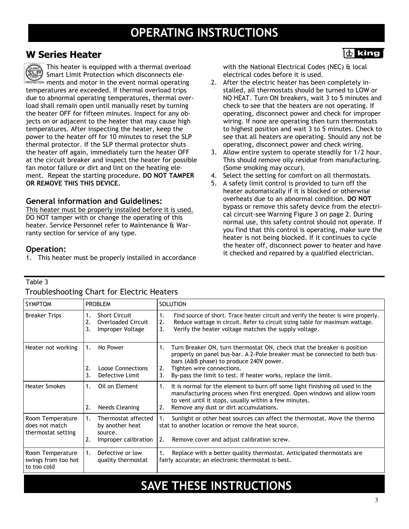## **W Series Heater**

This heater is equipped with a thermal overload **SUP** Smart Limit Protection which disconnects ele-**PROTECTION** ments and motor in the event normal operating temperatures are exceeded. If thermal overload trips due to abnormal operating temperatures, thermal overload shall remain open until manually reset by turning the heater OFF for fifteen minutes. Inspect for any objects on or adjacent to the heater that may cause high temperatures. After inspecting the heater, keep the power to the heater off for 10 minutes to reset the SLP thermal protector. If the SLP thermal protector shuts the heater off again, immediately turn the heater OFF at the circuit breaker and inspect the heater for possible fan motor failure or dirt and lint on the heating element. Repeat the starting procedure. **DO NOT TAMPER OR REMOVE THIS THIS DEVICE.** 

### **General information and Guidelines:**

This heater must be properly installed before it is used. DO NOT tamper with or change the operating of this heater. Service Personnel refer to Maintenance & Warranty section for service of any type.

### **Operation:**

Table 3

to too cold

1. This heater must be properly installed in accordance

with the National Electrical Codes (NEC) & local electrical codes before it is used.

齿 king

- 2. After the electric heater has been completely installed, all thermostats should be turned to LOW or NO HEAT. Turn ON breakers, wait 3 to 5 minutes and check to see that the heaters are not operating. If operating, disconnect power and check for improper wiring. If none are operating then turn thermostats to highest position and wait 3 to 5 minutes. Check to see that all heaters are operating. Should any not be operating, disconnect power and check wiring.
- 3. Allow entire system to operate steadily for 1/2 hour. This should remove oily residue from manufacturing. (Some smoking may occur).
- 4. Select the setting for comfort on all thermostats.
- 5. A safety limit control is provided to turn off the heater automatically if it is blocked or otherwise overheats due to an abnormal condition. **DO NOT**  bypass or remove this safety device from the electrical circuit-see Warning Figure 3 on page 2. During normal use, this safety control should not operate. If you find that this control is operating, make sure the heater is not being blocked. If it continues to cycle the heater off, disconnect power to heater and have it checked and repaired by a qualified electrician.

| <b>SYMPTOM</b>                                           | <b>PROBLEM</b>                                                                        | <b>SOLUTION</b>                                                                                                                                                                                                                                                                                                   |
|----------------------------------------------------------|---------------------------------------------------------------------------------------|-------------------------------------------------------------------------------------------------------------------------------------------------------------------------------------------------------------------------------------------------------------------------------------------------------------------|
| <b>Breaker Trips</b>                                     | <b>Short Circuit</b><br>2.<br><b>Overloaded Circuit</b><br>3.<br>Improper Voltage     | Find source of short. Trace heater circuit and verify the heater is wire properly.<br>1.<br>Reduce wattage in circuit. Refer to circuit sizing table for maximum wattage.<br>2.<br>Verify the heater voltage matches the supply voltage.<br>3.                                                                    |
| Heater not working                                       | 1.<br>No Power<br>2.<br><b>Loose Connections</b><br>3.<br>Defective Limit             | Turn Breaker ON, turn thermostat ON, check that the breaker is position<br>1.<br>properly on panel bus-bar. A 2-Pole breaker must be connected to both bus-<br>bars (A&B phase) to produce 240V power.<br>Tighten wire connections.<br>2.<br>By-pass the limit to test. If heater works, replace the limit.<br>3. |
| <b>Heater Smokes</b>                                     | Oil on Element<br>1.<br><b>Needs Cleaning</b><br>2.                                   | It is normal for the element to burn off some light finishing oil used in the<br>1.<br>manufacturing process when first energized. Open windows and allow room<br>to vent until it stops, usually within a few minutes.<br>Remove any dust or dirt accumulations.<br>2.                                           |
| Room Temperature<br>does not match<br>thermostat setting | Thermostat affected<br>1.<br>by another heat<br>source.<br>2.<br>Improper calibration | Sunlight or other heat sources can affect the thermostat. Move the thermo<br>stat to another location or remove the heat source.<br>Remove cover and adjust calibration screw.<br>2.                                                                                                                              |
| Room Temperature<br>swings from too hot                  | Defective or low<br>1.<br>quality thermostat                                          | Replace with a better quality thermostat. Anticipated thermostats are<br>fairly accurate; an electronic thermostat is best.                                                                                                                                                                                       |

### Troubleshooting Chart for Electric Heaters

## **SAVE THESE INSTRUCTIONS**